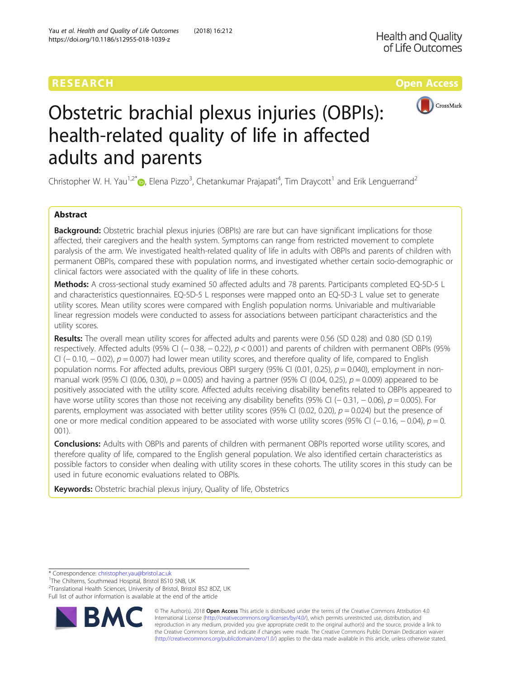

# Obstetric brachial plexus injuries (OBPIs): health-related quality of life in affected adults and parents

Christopher W. H. Yau<sup>1,2[\\*](http://orcid.org/0000-0003-4686-4560)</sup> , Elena Pizzo<sup>3</sup>, Chetankumar Prajapati<sup>4</sup>, Tim Draycott<sup>1</sup> and Erik Lenguerrand<sup>2</sup>

# Abstract

**Background:** Obstetric brachial plexus injuries (OBPIs) are rare but can have significant implications for those affected, their caregivers and the health system. Symptoms can range from restricted movement to complete paralysis of the arm. We investigated health-related quality of life in adults with OBPIs and parents of children with permanent OBPIs, compared these with population norms, and investigated whether certain socio-demographic or clinical factors were associated with the quality of life in these cohorts.

Methods: A cross-sectional study examined 50 affected adults and 78 parents. Participants completed EQ-5D-5 L and characteristics questionnaires. EQ-5D-5 L responses were mapped onto an EQ-5D-3 L value set to generate utility scores. Mean utility scores were compared with English population norms. Univariable and multivariable linear regression models were conducted to assess for associations between participant characteristics and the utility scores.

Results: The overall mean utility scores for affected adults and parents were 0.56 (SD 0.28) and 0.80 (SD 0.19) respectively. Affected adults (95% CI (− 0.38, − 0.22), p < 0.001) and parents of children with permanent OBPIs (95% CI (−0.10, −0.02),  $p = 0.007$ ) had lower mean utility scores, and therefore quality of life, compared to English population norms. For affected adults, previous OBPI surgery (95% CI (0.01, 0.25),  $p = 0.040$ ), employment in nonmanual work (95% CI (0.06, 0.30),  $p = 0.005$ ) and having a partner (95% CI (0.04, 0.25),  $p = 0.009$ ) appeared to be positively associated with the utility score. Affected adults receiving disability benefits related to OBPIs appeared to have worse utility scores than those not receiving any disability benefits (95% CI (− 0.31, − 0.06), p = 0.005). For parents, employment was associated with better utility scores (95% CI (0.02, 0.20),  $p = 0.024$ ) but the presence of one or more medical condition appeared to be associated with worse utility scores (95% CI (−0.16, −0.04), p = 0. 001).

Conclusions: Adults with OBPIs and parents of children with permanent OBPIs reported worse utility scores, and therefore quality of life, compared to the English general population. We also identified certain characteristics as possible factors to consider when dealing with utility scores in these cohorts. The utility scores in this study can be used in future economic evaluations related to OBPIs.

Keywords: Obstetric brachial plexus injury, Quality of life, Obstetrics

\* Correspondence: [christopher.yau@bristol.ac.uk](mailto:christopher.yau@bristol.ac.uk) <sup>1</sup>

Full list of author information is available at the end of the article



© The Author(s). 2018 Open Access This article is distributed under the terms of the Creative Commons Attribution 4.0 International License [\(http://creativecommons.org/licenses/by/4.0/](http://creativecommons.org/licenses/by/4.0/)), which permits unrestricted use, distribution, and reproduction in any medium, provided you give appropriate credit to the original author(s) and the source, provide a link to the Creative Commons license, and indicate if changes were made. The Creative Commons Public Domain Dedication waiver [\(http://creativecommons.org/publicdomain/zero/1.0/](http://creativecommons.org/publicdomain/zero/1.0/)) applies to the data made available in this article, unless otherwise stated.

<sup>&</sup>lt;sup>1</sup>The Chilterns, Southmead Hospital, Bristol BS10 5NB, UK

<sup>&</sup>lt;sup>2</sup>Translational Health Sciences, University of Bristol, Bristol BS2 8DZ, UK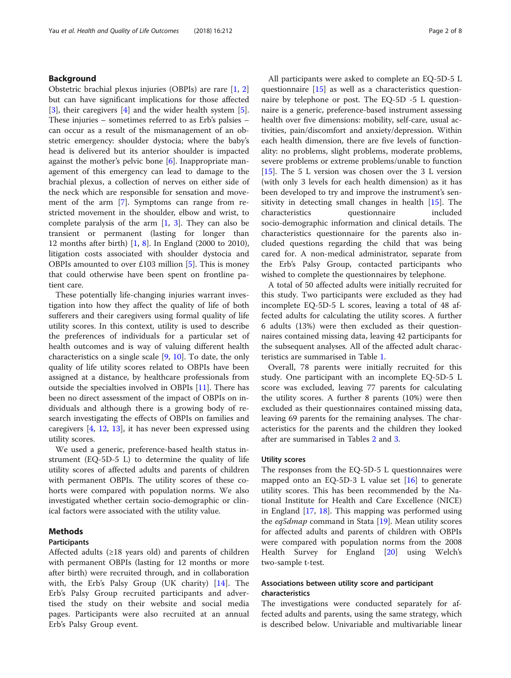# Background

Obstetric brachial plexus injuries (OBPIs) are rare [[1,](#page-7-0) [2](#page-7-0)] but can have significant implications for those affected  $[3]$  $[3]$ , their caregivers  $[4]$  $[4]$  and the wider health system  $[5]$  $[5]$ . These injuries – sometimes referred to as Erb's palsies – can occur as a result of the mismanagement of an obstetric emergency: shoulder dystocia; where the baby's head is delivered but its anterior shoulder is impacted against the mother's pelvic bone [\[6](#page-7-0)]. Inappropriate management of this emergency can lead to damage to the brachial plexus, a collection of nerves on either side of the neck which are responsible for sensation and movement of the arm [[7\]](#page-7-0). Symptoms can range from restricted movement in the shoulder, elbow and wrist, to complete paralysis of the arm  $[1, 3]$  $[1, 3]$  $[1, 3]$  $[1, 3]$ . They can also be transient or permanent (lasting for longer than 12 months after birth) [\[1](#page-7-0), [8\]](#page-7-0). In England (2000 to 2010), litigation costs associated with shoulder dystocia and OBPIs amounted to over £103 million  $[5]$  $[5]$ . This is money that could otherwise have been spent on frontline patient care.

These potentially life-changing injuries warrant investigation into how they affect the quality of life of both sufferers and their caregivers using formal quality of life utility scores. In this context, utility is used to describe the preferences of individuals for a particular set of health outcomes and is way of valuing different health characteristics on a single scale [\[9](#page-7-0), [10](#page-7-0)]. To date, the only quality of life utility scores related to OBPIs have been assigned at a distance, by healthcare professionals from outside the specialties involved in OBPIs [\[11](#page-7-0)]. There has been no direct assessment of the impact of OBPIs on individuals and although there is a growing body of research investigating the effects of OBPIs on families and caregivers [\[4,](#page-7-0) [12,](#page-7-0) [13](#page-7-0)], it has never been expressed using utility scores.

We used a generic, preference-based health status instrument (EQ-5D-5 L) to determine the quality of life utility scores of affected adults and parents of children with permanent OBPIs. The utility scores of these cohorts were compared with population norms. We also investigated whether certain socio-demographic or clinical factors were associated with the utility value.

# Methods

# Participants

Affected adults  $(≥18$  years old) and parents of children with permanent OBPIs (lasting for 12 months or more after birth) were recruited through, and in collaboration with, the Erb's Palsy Group (UK charity) [[14\]](#page-7-0). The Erb's Palsy Group recruited participants and advertised the study on their website and social media pages. Participants were also recruited at an annual Erb's Palsy Group event.

All participants were asked to complete an EQ-5D-5 L questionnaire [\[15](#page-7-0)] as well as a characteristics questionnaire by telephone or post. The EQ-5D -5 L questionnaire is a generic, preference-based instrument assessing health over five dimensions: mobility, self-care, usual activities, pain/discomfort and anxiety/depression. Within each health dimension, there are five levels of functionality: no problems, slight problems, moderate problems, severe problems or extreme problems/unable to function [[15\]](#page-7-0). The 5 L version was chosen over the 3 L version (with only 3 levels for each health dimension) as it has been developed to try and improve the instrument's sensitivity in detecting small changes in health [\[15](#page-7-0)]. The characteristics questionnaire included socio-demographic information and clinical details. The characteristics questionnaire for the parents also included questions regarding the child that was being cared for. A non-medical administrator, separate from the Erb's Palsy Group, contacted participants who wished to complete the questionnaires by telephone.

A total of 50 affected adults were initially recruited for this study. Two participants were excluded as they had incomplete EQ-5D-5 L scores, leaving a total of 48 affected adults for calculating the utility scores. A further 6 adults (13%) were then excluded as their questionnaires contained missing data, leaving 42 participants for the subsequent analyses. All of the affected adult characteristics are summarised in Table [1.](#page-2-0)

Overall, 78 parents were initially recruited for this study. One participant with an incomplete EQ-5D-5 L score was excluded, leaving 77 parents for calculating the utility scores. A further 8 parents (10%) were then excluded as their questionnaires contained missing data, leaving 69 parents for the remaining analyses. The characteristics for the parents and the children they looked after are summarised in Tables [2](#page-2-0) and [3](#page-3-0).

#### Utility scores

The responses from the EQ-5D-5 L questionnaires were mapped onto an EQ-5D-3 L value set  $[16]$  to generate utility scores. This has been recommended by the National Institute for Health and Care Excellence (NICE) in England [\[17](#page-7-0), [18\]](#page-7-0). This mapping was performed using the *eq5dmap* command in Stata  $[19]$  $[19]$ . Mean utility scores for affected adults and parents of children with OBPIs were compared with population norms from the 2008 Health Survey for England [[20\]](#page-7-0) using Welch's two-sample t-test.

# Associations between utility score and participant characteristics

The investigations were conducted separately for affected adults and parents, using the same strategy, which is described below. Univariable and multivariable linear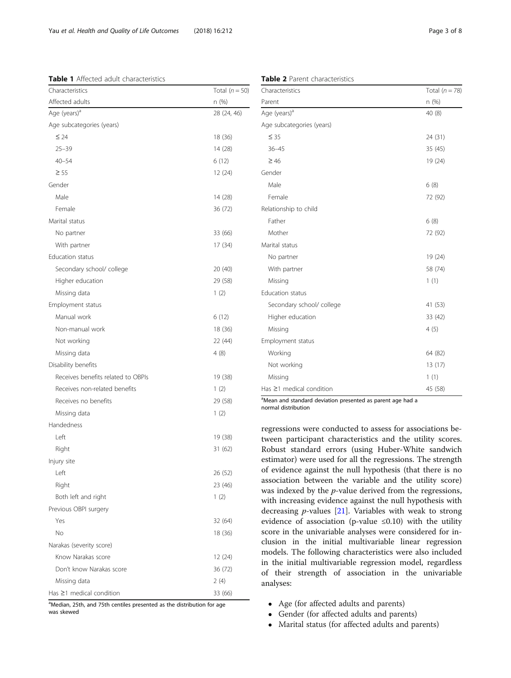<span id="page-2-0"></span>Table 1 Affected adult characteristics

| Characteristics                                                                    | Total $(n = 50)$ |
|------------------------------------------------------------------------------------|------------------|
| Affected adults                                                                    | n (%)            |
| Age (years) <sup>a</sup>                                                           | 28 (24, 46)      |
| Age subcategories (years)                                                          |                  |
| $\leq 24$                                                                          | 18 (36)          |
| $25 - 39$                                                                          | 14 (28)          |
| $40 - 54$                                                                          | 6 (12)           |
| $\geq 55$                                                                          | 12 (24)          |
| Gender                                                                             |                  |
| Male                                                                               | 14 (28)          |
| Female                                                                             | 36 (72)          |
| Marital status                                                                     |                  |
| No partner                                                                         | 33 (66)          |
| With partner                                                                       | 17 (34)          |
| Education status                                                                   |                  |
| Secondary school/ college                                                          | 20 (40)          |
| Higher education                                                                   | 29 (58)          |
| Missing data                                                                       | 1(2)             |
| Employment status                                                                  |                  |
| Manual work                                                                        | 6 (12)           |
| Non-manual work                                                                    | 18 (36)          |
| Not working                                                                        | 22 (44)          |
| Missing data                                                                       | 4(8)             |
| Disability benefits                                                                |                  |
| Receives benefits related to OBPIs                                                 | 19 (38)          |
| Receives non-related benefits                                                      | 1(2)             |
| Receives no benefits                                                               | 29 (58)          |
| Missing data                                                                       | 1(2)             |
| Handedness                                                                         |                  |
| Left                                                                               | 19 (38)          |
| Right                                                                              | 31 (62)          |
| Injury site                                                                        |                  |
| Left                                                                               | 26 (52)          |
| Right                                                                              | 23 (46)          |
| Both left and right                                                                | 1(2)             |
| Previous OBPI surgery                                                              |                  |
| Yes                                                                                | 32 (64)          |
| No.                                                                                | 18 (36)          |
| Narakas (severity score)                                                           |                  |
| Know Narakas score                                                                 | 12 (24)          |
| Don't know Narakas score                                                           | 36 (72)          |
| Missing data                                                                       | 2(4)             |
| Has $\geq$ 1 medical condition                                                     | 33 (66)          |
| <sup>a</sup> Median, 25th, and 75th centiles presented as the distribution for age |                  |

was skewed

Table 2 Parent characteristics

| Characteristics                | Total $(n = 78)$ |
|--------------------------------|------------------|
| Parent                         | n(%)             |
| Age (years) <sup>a</sup>       | 40 (8)           |
| Age subcategories (years)      |                  |
| $\leq 35$                      | 24 (31)          |
| $36 - 45$                      | 35(45)           |
| $\geq 46$                      | 19 (24)          |
| Gender                         |                  |
| Male                           | 6(8)             |
| Female                         | 72 (92)          |
| Relationship to child          |                  |
| Father                         | 6(8)             |
| Mother                         | 72 (92)          |
| Marital status                 |                  |
| No partner                     | 19 (24)          |
| With partner                   | 58 (74)          |
| Missing                        | 1(1)             |
| <b>Education status</b>        |                  |
| Secondary school/ college      | 41 (53)          |
| Higher education               | 33 (42)          |
| Missing                        | 4(5)             |
| Employment status              |                  |
| Working                        | 64 (82)          |
| Not working                    | 13 (17)          |
| Missing                        | 1(1)             |
| Has $\geq$ 1 medical condition | 45 (58)          |

<sup>a</sup>Mean and standard deviation presented as parent age had a

normal distribution

regressions were conducted to assess for associations between participant characteristics and the utility scores. Robust standard errors (using Huber-White sandwich estimator) were used for all the regressions. The strength of evidence against the null hypothesis (that there is no association between the variable and the utility score) was indexed by the p-value derived from the regressions, with increasing evidence against the null hypothesis with decreasing  $p$ -values [[21\]](#page-7-0). Variables with weak to strong evidence of association (p-value  $\leq 0.10$ ) with the utility score in the univariable analyses were considered for inclusion in the initial multivariable linear regression models. The following characteristics were also included in the initial multivariable regression model, regardless of their strength of association in the univariable analyses:

- Age (for affected adults and parents)
- Gender (for affected adults and parents)
- Marital status (for affected adults and parents)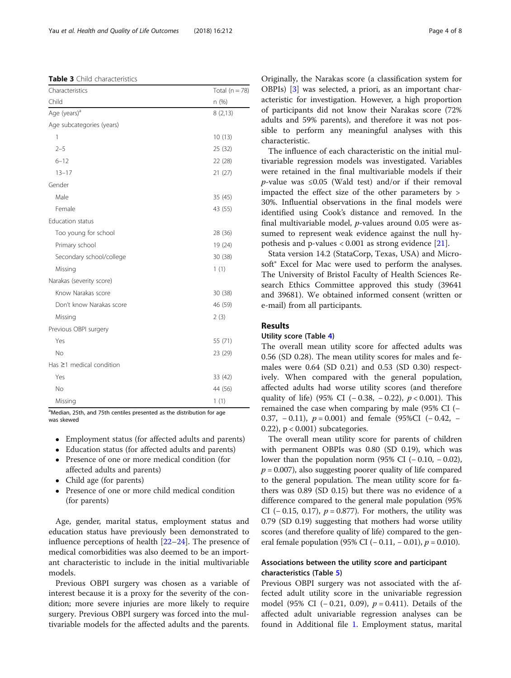<span id="page-3-0"></span>Table 3 Child characteristics

| Characteristics                | Total $(n = 78)$ |
|--------------------------------|------------------|
| Child                          | n (%)            |
| Age (years) <sup>a</sup>       | 8(2,13)          |
| Age subcategories (years)      |                  |
| 1                              | 10(13)           |
| $2 - 5$                        | 25 (32)          |
| $6 - 12$                       | 22 (28)          |
| $13 - 17$                      | 21(27)           |
| Gender                         |                  |
| Male                           | 35(45)           |
| Female                         | 43 (55)          |
| <b>Education status</b>        |                  |
| Too young for school           | 28 (36)          |
| Primary school                 | 19 (24)          |
| Secondary school/college       | 30(38)           |
| Missing                        | 1(1)             |
| Narakas (severity score)       |                  |
| Know Narakas score             | 30(38)           |
| Don't know Narakas score       | 46 (59)          |
| Missing                        | 2(3)             |
| Previous OBPI surgery          |                  |
| Yes                            | 55 (71)          |
| No                             | 23 (29)          |
| Has $\geq$ 1 medical condition |                  |
| Yes                            | 33 (42)          |
| No                             | 44 (56)          |
| Missing                        | 1(1)             |

<sup>a</sup>Median, 25th, and 75th centiles presented as the distribution for age was skewed

- Employment status (for affected adults and parents)
- Education status (for affected adults and parents)
- Presence of one or more medical condition (for affected adults and parents)
- Child age (for parents)
- Presence of one or more child medical condition (for parents)

Age, gender, marital status, employment status and education status have previously been demonstrated to influence perceptions of health  $[22-24]$  $[22-24]$  $[22-24]$ . The presence of medical comorbidities was also deemed to be an important characteristic to include in the initial multivariable models.

Previous OBPI surgery was chosen as a variable of interest because it is a proxy for the severity of the condition; more severe injuries are more likely to require surgery. Previous OBPI surgery was forced into the multivariable models for the affected adults and the parents.

Originally, the Narakas score (a classification system for OBPIs) [[3\]](#page-7-0) was selected, a priori, as an important characteristic for investigation. However, a high proportion of participants did not know their Narakas score (72% adults and 59% parents), and therefore it was not possible to perform any meaningful analyses with this characteristic.

The influence of each characteristic on the initial multivariable regression models was investigated. Variables were retained in the final multivariable models if their p-value was  $\leq 0.05$  (Wald test) and/or if their removal impacted the effect size of the other parameters by > 30%. Influential observations in the final models were identified using Cook's distance and removed. In the final multivariable model, p-values around 0.05 were assumed to represent weak evidence against the null hypothesis and p-values < 0.001 as strong evidence [\[21\]](#page-7-0).

Stata version 14.2 (StataCorp, Texas, USA) and Microsoft<sup>®</sup> Excel for Mac were used to perform the analyses. The University of Bristol Faculty of Health Sciences Research Ethics Committee approved this study (39641 and 39681). We obtained informed consent (written or e-mail) from all participants.

# Results

#### Utility score (Table [4](#page-4-0))

The overall mean utility score for affected adults was 0.56 (SD 0.28). The mean utility scores for males and females were 0.64 (SD 0.21) and 0.53 (SD 0.30) respectively. When compared with the general population, affected adults had worse utility scores (and therefore quality of life) (95% CI (−0.38, −0.22),  $p < 0.001$ ). This remained the case when comparing by male (95% CI (− 0.37,  $-$  0.11),  $p = 0.001$  and female (95%CI ( $-$  0.42,  $-$ 0.22),  $p < 0.001$ ) subcategories.

The overall mean utility score for parents of children with permanent OBPIs was 0.80 (SD 0.19), which was lower than the population norm (95% CI ( $-0.10$ ,  $-0.02$ ),  $p = 0.007$ , also suggesting poorer quality of life compared to the general population. The mean utility score for fathers was 0.89 (SD 0.15) but there was no evidence of a difference compared to the general male population (95% CI (− 0.15, 0.17),  $p = 0.877$ ). For mothers, the utility was 0.79 (SD 0.19) suggesting that mothers had worse utility scores (and therefore quality of life) compared to the general female population (95% CI (− 0.11, − 0.01),  $p = 0.010$ ).

# Associations between the utility score and participant characteristics (Table [5](#page-4-0))

Previous OBPI surgery was not associated with the affected adult utility score in the univariable regression model (95% CI (− 0.21, 0.09),  $p = 0.411$ ). Details of the affected adult univariable regression analyses can be found in Additional file [1](#page-6-0). Employment status, marital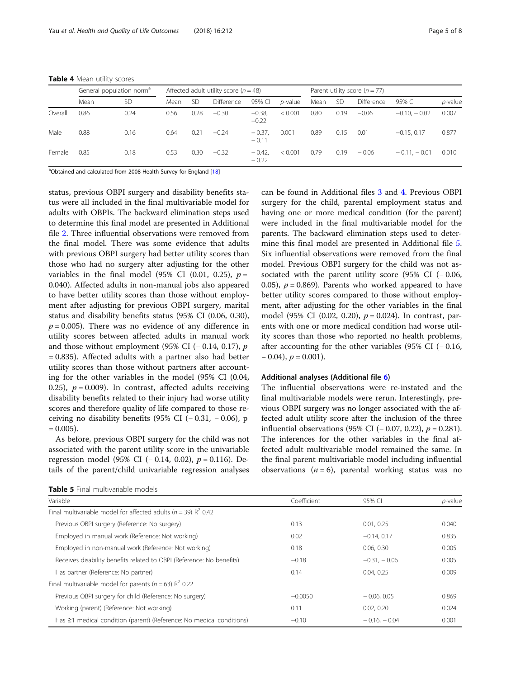<span id="page-4-0"></span>Table 4 Mean utility scores

|         | General population norm <sup>a</sup> |           | Affected adult utility score ( $n = 48$ ) |           |                   |                    | Parent utility score $(n = 77)$ |      |           |                   |                |                 |
|---------|--------------------------------------|-----------|-------------------------------------------|-----------|-------------------|--------------------|---------------------------------|------|-----------|-------------------|----------------|-----------------|
|         | Mean                                 | <b>SD</b> | Mean                                      | <b>SD</b> | <b>Difference</b> | 95% CI             | <i>p</i> -value                 | Mean | <b>SD</b> | <b>Difference</b> | 95% CI         | <i>p</i> -value |
| Overall | 0.86                                 | 0.24      | 0.56                                      | 0.28      | $-0.30$           | $-0.38$<br>$-0.22$ | < 0.001                         | 0.80 | 0.19      | $-0.06$           | $-0.10, -0.02$ | 0.007           |
| Male    | 0.88                                 | 0.16      | 0.64                                      | 0.21      | $-0.24$           | $-0.37$<br>$-0.11$ | 0.001                           | 0.89 | 0.15      | 0.01              | $-0.15.017$    | 0.877           |
| Female  | 0.85                                 | 0.18      | 0.53                                      | 0.30      | $-0.32$           | $-0.42$<br>$-0.22$ | < 0.001                         | 0.79 | 0.19      | $-0.06$           | $-0.11 - 0.01$ | 0.010           |

<sup>a</sup>Obtained and calculated from 2008 Health Survey for England [\[18\]](#page-7-0)

status, previous OBPI surgery and disability benefits status were all included in the final multivariable model for adults with OBPIs. The backward elimination steps used to determine this final model are presented in Additional file [2](#page-6-0). Three influential observations were removed from the final model. There was some evidence that adults with previous OBPI surgery had better utility scores than those who had no surgery after adjusting for the other variables in the final model (95% CI (0.01, 0.25),  $p =$ 0.040). Affected adults in non-manual jobs also appeared to have better utility scores than those without employment after adjusting for previous OBPI surgery, marital status and disability benefits status (95% CI (0.06, 0.30),  $p = 0.005$ ). There was no evidence of any difference in utility scores between affected adults in manual work and those without employment (95% CI ( $-$  0.14, 0.17), p = 0.835). Affected adults with a partner also had better utility scores than those without partners after accounting for the other variables in the model (95% CI (0.04, 0.25),  $p = 0.009$ . In contrast, affected adults receiving disability benefits related to their injury had worse utility scores and therefore quality of life compared to those receiving no disability benefits (95% CI ( $-0.31$ ,  $-0.06$ ), p  $= 0.005$ ).

As before, previous OBPI surgery for the child was not associated with the parent utility score in the univariable regression model (95% CI (− 0.14, 0.02),  $p = 0.116$ ). Details of the parent/child univariable regression analyses

| Table 5 Final multivariable models |
|------------------------------------|
|------------------------------------|

can be found in Additional files [3](#page-6-0) and [4](#page-6-0). Previous OBPI surgery for the child, parental employment status and having one or more medical condition (for the parent) were included in the final multivariable model for the parents. The backward elimination steps used to determine this final model are presented in Additional file [5](#page-6-0). Six influential observations were removed from the final model. Previous OBPI surgery for the child was not associated with the parent utility score (95% CI (− 0.06, 0.05),  $p = 0.869$ . Parents who worked appeared to have better utility scores compared to those without employment, after adjusting for the other variables in the final model (95% CI (0.02, 0.20),  $p = 0.024$ ). In contrast, parents with one or more medical condition had worse utility scores than those who reported no health problems, after accounting for the other variables (95% CI (− 0.16,  $-0.04$ ,  $p = 0.001$ ).

#### Additional analyses (Additional file [6](#page-6-0))

The influential observations were re-instated and the final multivariable models were rerun. Interestingly, previous OBPI surgery was no longer associated with the affected adult utility score after the inclusion of the three influential observations (95% CI (− 0.07, 0.22),  $p = 0.281$ ). The inferences for the other variables in the final affected adult multivariable model remained the same. In the final parent multivariable model including influential observations  $(n = 6)$ , parental working status was no

| Coefficient | 95% CI                                                                  | $p$ -value |
|-------------|-------------------------------------------------------------------------|------------|
|             |                                                                         |            |
|             |                                                                         |            |
|             | 0.01, 0.25                                                              | 0.040      |
|             | $-0.14.0.17$                                                            | 0.835      |
|             | 0.06.030                                                                | 0.005      |
|             | $-0.31 - 0.06$                                                          | 0.005      |
|             | 0.04.0.25                                                               | 0.009      |
|             |                                                                         |            |
|             | $-0.06, 0.05$                                                           | 0.869      |
|             | 0.02.0.20                                                               | 0.024      |
|             | $-0.16. -0.04$                                                          | 0.001      |
|             | 0.13<br>0.02<br>0.18<br>$-0.18$<br>0.14<br>$-0.0050$<br>0.11<br>$-0.10$ |            |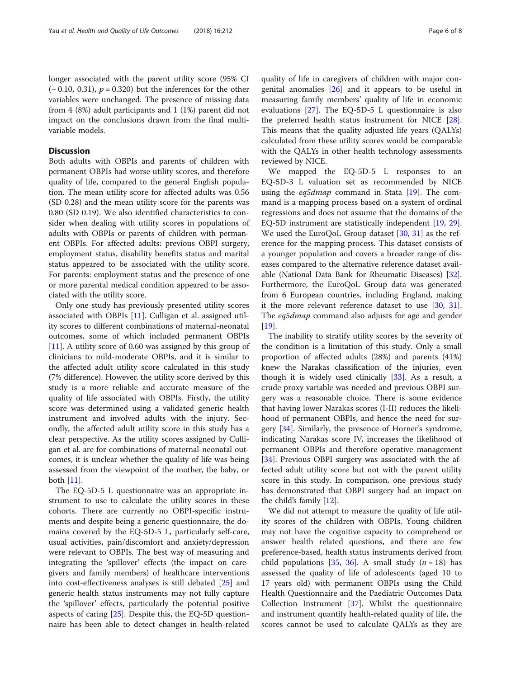longer associated with the parent utility score (95% CI  $(-0.10, 0.31), p = 0.320$  but the inferences for the other variables were unchanged. The presence of missing data from 4 (8%) adult participants and 1 (1%) parent did not impact on the conclusions drawn from the final multivariable models.

#### **Discussion**

Both adults with OBPIs and parents of children with permanent OBPIs had worse utility scores, and therefore quality of life, compared to the general English population. The mean utility score for affected adults was 0.56 (SD 0.28) and the mean utility score for the parents was 0.80 (SD 0.19). We also identified characteristics to consider when dealing with utility scores in populations of adults with OBPIs or parents of children with permanent OBPIs. For affected adults: previous OBPI surgery, employment status, disability benefits status and marital status appeared to be associated with the utility score. For parents: employment status and the presence of one or more parental medical condition appeared to be associated with the utility score.

Only one study has previously presented utility scores associated with OBPIs [[11](#page-7-0)]. Culligan et al. assigned utility scores to different combinations of maternal-neonatal outcomes, some of which included permanent OBPIs [[11\]](#page-7-0). A utility score of 0.60 was assigned by this group of clinicians to mild-moderate OBPIs, and it is similar to the affected adult utility score calculated in this study (7% difference). However, the utility score derived by this study is a more reliable and accurate measure of the quality of life associated with OBPIs. Firstly, the utility score was determined using a validated generic health instrument and involved adults with the injury. Secondly, the affected adult utility score in this study has a clear perspective. As the utility scores assigned by Culligan et al. are for combinations of maternal-neonatal outcomes, it is unclear whether the quality of life was being assessed from the viewpoint of the mother, the baby, or both [[11](#page-7-0)].

The EQ-5D-5 L questionnaire was an appropriate instrument to use to calculate the utility scores in these cohorts. There are currently no OBPI-specific instruments and despite being a generic questionnaire, the domains covered by the EQ-5D-5 L, particularly self-care, usual activities, pain/discomfort and anxiety/depression were relevant to OBPIs. The best way of measuring and integrating the 'spillover' effects (the impact on caregivers and family members) of healthcare interventions into cost-effectiveness analyses is still debated [\[25](#page-7-0)] and generic health status instruments may not fully capture the 'spillover' effects, particularly the potential positive aspects of caring [[25\]](#page-7-0). Despite this, the EQ-5D questionnaire has been able to detect changes in health-related

quality of life in caregivers of children with major congenital anomalies  $[26]$  $[26]$  $[26]$  and it appears to be useful in measuring family members' quality of life in economic evaluations  $[27]$  $[27]$ . The EQ-5D-5 L questionnaire is also the preferred health status instrument for NICE [\[28](#page-7-0)]. This means that the quality adjusted life years (QALYs) calculated from these utility scores would be comparable with the QALYs in other health technology assessments reviewed by NICE.

We mapped the EQ-5D-5 L responses to an EQ-5D-3 L valuation set as recommended by NICE using the *eq5dmap* command in Stata  $[19]$  $[19]$ . The command is a mapping process based on a system of ordinal regressions and does not assume that the domains of the EQ-5D instrument are statistically independent [[19,](#page-7-0) [29](#page-7-0)]. We used the EuroQoL Group dataset [[30](#page-7-0), [31](#page-7-0)] as the reference for the mapping process. This dataset consists of a younger population and covers a broader range of diseases compared to the alternative reference dataset available (National Data Bank for Rheumatic Diseases) [\[32](#page-7-0)]. Furthermore, the EuroQoL Group data was generated from 6 European countries, including England, making it the more relevant reference dataset to use [[30,](#page-7-0) [31](#page-7-0)]. The *eq5dmap* command also adjusts for age and gender [[19\]](#page-7-0).

The inability to stratify utility scores by the severity of the condition is a limitation of this study. Only a small proportion of affected adults (28%) and parents (41%) knew the Narakas classification of the injuries, even though it is widely used clinically [[33\]](#page-7-0). As a result, a crude proxy variable was needed and previous OBPI surgery was a reasonable choice. There is some evidence that having lower Narakas scores (I-II) reduces the likelihood of permanent OBPIs, and hence the need for sur-gery [[34\]](#page-7-0). Similarly, the presence of Horner's syndrome, indicating Narakas score IV, increases the likelihood of permanent OBPIs and therefore operative management [[34\]](#page-7-0). Previous OBPI surgery was associated with the affected adult utility score but not with the parent utility score in this study. In comparison, one previous study has demonstrated that OBPI surgery had an impact on the child's family [[12\]](#page-7-0).

We did not attempt to measure the quality of life utility scores of the children with OBPIs. Young children may not have the cognitive capacity to comprehend or answer health related questions, and there are few preference-based, health status instruments derived from child populations [[35,](#page-7-0) [36\]](#page-7-0). A small study  $(n = 18)$  has assessed the quality of life of adolescents (aged 10 to 17 years old) with permanent OBPIs using the Child Health Questionnaire and the Paediatric Outcomes Data Collection Instrument [[37](#page-7-0)]. Whilst the questionnaire and instrument quantify health-related quality of life, the scores cannot be used to calculate QALYs as they are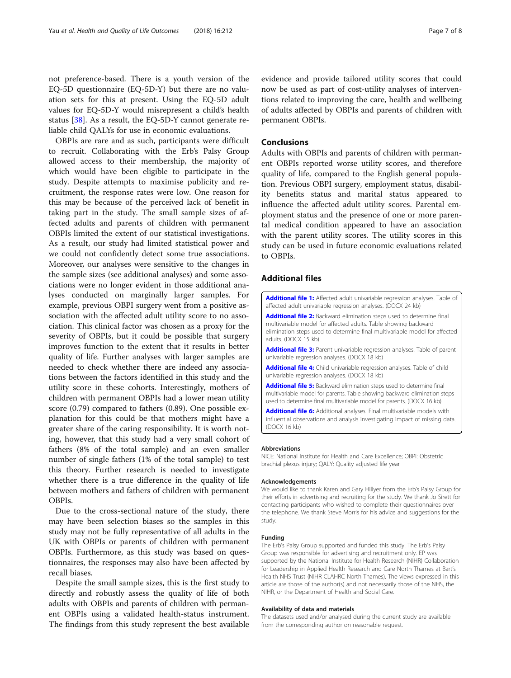<span id="page-6-0"></span>not preference-based. There is a youth version of the EQ-5D questionnaire (EQ-5D-Y) but there are no valuation sets for this at present. Using the EQ-5D adult values for EQ-5D-Y would misrepresent a child's health status [[38](#page-7-0)]. As a result, the EQ-5D-Y cannot generate reliable child QALYs for use in economic evaluations.

OBPIs are rare and as such, participants were difficult to recruit. Collaborating with the Erb's Palsy Group allowed access to their membership, the majority of which would have been eligible to participate in the study. Despite attempts to maximise publicity and recruitment, the response rates were low. One reason for this may be because of the perceived lack of benefit in taking part in the study. The small sample sizes of affected adults and parents of children with permanent OBPIs limited the extent of our statistical investigations. As a result, our study had limited statistical power and we could not confidently detect some true associations. Moreover, our analyses were sensitive to the changes in the sample sizes (see additional analyses) and some associations were no longer evident in those additional analyses conducted on marginally larger samples. For example, previous OBPI surgery went from a positive association with the affected adult utility score to no association. This clinical factor was chosen as a proxy for the severity of OBPIs, but it could be possible that surgery improves function to the extent that it results in better quality of life. Further analyses with larger samples are needed to check whether there are indeed any associations between the factors identified in this study and the utility score in these cohorts. Interestingly, mothers of children with permanent OBPIs had a lower mean utility score (0.79) compared to fathers (0.89). One possible explanation for this could be that mothers might have a greater share of the caring responsibility. It is worth noting, however, that this study had a very small cohort of fathers (8% of the total sample) and an even smaller number of single fathers (1% of the total sample) to test this theory. Further research is needed to investigate whether there is a true difference in the quality of life between mothers and fathers of children with permanent OBPIs.

Due to the cross-sectional nature of the study, there may have been selection biases so the samples in this study may not be fully representative of all adults in the UK with OBPIs or parents of children with permanent OBPIs. Furthermore, as this study was based on questionnaires, the responses may also have been affected by recall biases.

Despite the small sample sizes, this is the first study to directly and robustly assess the quality of life of both adults with OBPIs and parents of children with permanent OBPIs using a validated health-status instrument. The findings from this study represent the best available evidence and provide tailored utility scores that could now be used as part of cost-utility analyses of interventions related to improving the care, health and wellbeing of adults affected by OBPIs and parents of children with permanent OBPIs.

# Conclusions

Adults with OBPIs and parents of children with permanent OBPIs reported worse utility scores, and therefore quality of life, compared to the English general population. Previous OBPI surgery, employment status, disability benefits status and marital status appeared to influence the affected adult utility scores. Parental employment status and the presence of one or more parental medical condition appeared to have an association with the parent utility scores. The utility scores in this study can be used in future economic evaluations related to OBPIs.

# Additional files

[Additional file 1:](https://doi.org/10.1186/s12955-018-1039-z) Affected adult univariable regression analyses. Table of affected adult univariable regression analyses. (DOCX 24 kb)

[Additional file 2:](https://doi.org/10.1186/s12955-018-1039-z) Backward elimination steps used to determine final multivariable model for affected adults. Table showing backward elimination steps used to determine final multivariable model for affected adults. (DOCX 15 kb)

[Additional file 3:](https://doi.org/10.1186/s12955-018-1039-z) Parent univariable regression analyses. Table of parent univariable regression analyses. (DOCX 18 kb)

[Additional file 4:](https://doi.org/10.1186/s12955-018-1039-z) Child univariable regression analyses. Table of child univariable regression analyses. (DOCX 18 kb)

[Additional file 5:](https://doi.org/10.1186/s12955-018-1039-z) Backward elimination steps used to determine final multivariable model for parents. Table showing backward elimination steps used to determine final multivariable model for parents. (DOCX 16 kb)

[Additional file 6:](https://doi.org/10.1186/s12955-018-1039-z) Additional analyses. Final multivariable models with influential observations and analysis investigating impact of missing data. (DOCX 16 kb)

#### Abbreviations

NICE: National Institute for Health and Care Excellence; OBPI: Obstetric brachial plexus injury; QALY: Quality adjusted life year

#### Acknowledgements

We would like to thank Karen and Gary Hillyer from the Erb's Palsy Group for their efforts in advertising and recruiting for the study. We thank Jo Sirett for contacting participants who wished to complete their questionnaires over the telephone. We thank Steve Morris for his advice and suggestions for the study.

# Funding

The Erb's Palsy Group supported and funded this study. The Erb's Palsy Group was responsible for advertising and recruitment only. EP was supported by the National Institute for Health Research (NIHR) Collaboration for Leadership in Applied Health Research and Care North Thames at Bart's Health NHS Trust (NIHR CLAHRC North Thames). The views expressed in this article are those of the author(s) and not necessarily those of the NHS, the NIHR, or the Department of Health and Social Care.

#### Availability of data and materials

The datasets used and/or analysed during the current study are available from the corresponding author on reasonable request.